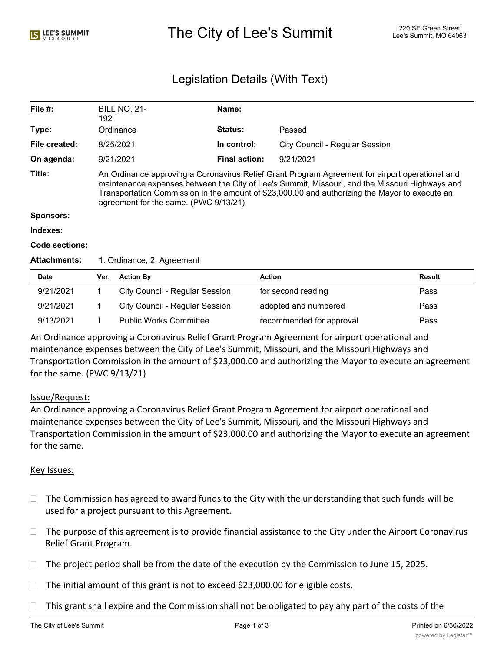# The City of Lee's Summit 220 SE Green Street Alex City of Lee's Summit, MO 64063

## Legislation Details (With Text)

| File $#$ :          | <b>BILL NO. 21-</b><br>192                                                                                                                                                                                                                                                                                                                   | Name:                |                                       |               |  |  |
|---------------------|----------------------------------------------------------------------------------------------------------------------------------------------------------------------------------------------------------------------------------------------------------------------------------------------------------------------------------------------|----------------------|---------------------------------------|---------------|--|--|
| Type:               | Ordinance                                                                                                                                                                                                                                                                                                                                    | Status:              | Passed                                |               |  |  |
| File created:       | 8/25/2021                                                                                                                                                                                                                                                                                                                                    | In control:          | <b>City Council - Regular Session</b> |               |  |  |
| On agenda:          | 9/21/2021                                                                                                                                                                                                                                                                                                                                    | <b>Final action:</b> | 9/21/2021                             |               |  |  |
| Title:              | An Ordinance approving a Coronavirus Relief Grant Program Agreement for airport operational and<br>maintenance expenses between the City of Lee's Summit, Missouri, and the Missouri Highways and<br>Transportation Commission in the amount of \$23,000.00 and authorizing the Mayor to execute an<br>agreement for the same. (PWC 9/13/21) |                      |                                       |               |  |  |
| Sponsors:           |                                                                                                                                                                                                                                                                                                                                              |                      |                                       |               |  |  |
| Indexes:            |                                                                                                                                                                                                                                                                                                                                              |                      |                                       |               |  |  |
| Code sections:      |                                                                                                                                                                                                                                                                                                                                              |                      |                                       |               |  |  |
| <b>Attachments:</b> | 1. Ordinance, 2. Agreement                                                                                                                                                                                                                                                                                                                   |                      |                                       |               |  |  |
| <b>Date</b>         | <b>Action By</b><br>Ver.                                                                                                                                                                                                                                                                                                                     | <b>Action</b>        |                                       | <b>Result</b> |  |  |

| <b>Date</b> | Ver. | <b>Action By</b>               | <b>Action</b>            | Result |
|-------------|------|--------------------------------|--------------------------|--------|
| 9/21/2021   |      | City Council - Regular Session | for second reading       | Pass   |
| 9/21/2021   |      | City Council - Regular Session | adopted and numbered     | Pass   |
| 9/13/2021   |      | <b>Public Works Committee</b>  | recommended for approval | Pass   |

An Ordinance approving a Coronavirus Relief Grant Program Agreement for airport operational and maintenance expenses between the City of Lee's Summit, Missouri, and the Missouri Highways and Transportation Commission in the amount of \$23,000.00 and authorizing the Mayor to execute an agreement for the same. (PWC 9/13/21)

### Issue/Request:

An Ordinance approving a Coronavirus Relief Grant Program Agreement for airport operational and maintenance expenses between the City of Lee's Summit, Missouri, and the Missouri Highways and Transportation Commission in the amount of \$23,000.00 and authorizing the Mayor to execute an agreement for the same.

### Key Issues:

- $\Box$  The Commission has agreed to award funds to the City with the understanding that such funds will be used for a project pursuant to this Agreement.
- $\Box$  The purpose of this agreement is to provide financial assistance to the City under the Airport Coronavirus Relief Grant Program.
- $\Box$  The project period shall be from the date of the execution by the Commission to June 15, 2025.
- $\Box$  The initial amount of this grant is not to exceed \$23,000.00 for eligible costs.
- $\Box$  This grant shall expire and the Commission shall not be obligated to pay any part of the costs of the